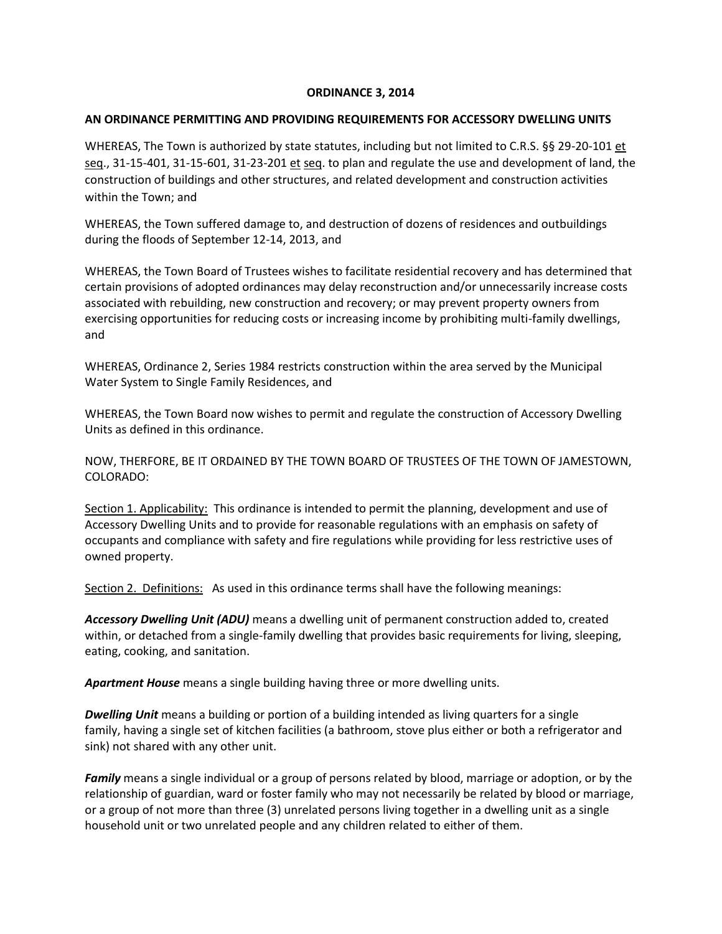## **ORDINANCE 3, 2014**

## **AN ORDINANCE PERMITTING AND PROVIDING REQUIREMENTS FOR ACCESSORY DWELLING UNITS**

WHEREAS, The Town is authorized by state statutes, including but not limited to C.R.S. §§ 29-20-101 et seq., 31-15-401, 31-15-601, 31-23-201 et seq. to plan and regulate the use and development of land, the construction of buildings and other structures, and related development and construction activities within the Town; and

WHEREAS, the Town suffered damage to, and destruction of dozens of residences and outbuildings during the floods of September 12-14, 2013, and

WHEREAS, the Town Board of Trustees wishes to facilitate residential recovery and has determined that certain provisions of adopted ordinances may delay reconstruction and/or unnecessarily increase costs associated with rebuilding, new construction and recovery; or may prevent property owners from exercising opportunities for reducing costs or increasing income by prohibiting multi-family dwellings, and

WHEREAS, Ordinance 2, Series 1984 restricts construction within the area served by the Municipal Water System to Single Family Residences, and

WHEREAS, the Town Board now wishes to permit and regulate the construction of Accessory Dwelling Units as defined in this ordinance.

NOW, THERFORE, BE IT ORDAINED BY THE TOWN BOARD OF TRUSTEES OF THE TOWN OF JAMESTOWN, COLORADO:

Section 1. Applicability: This ordinance is intended to permit the planning, development and use of Accessory Dwelling Units and to provide for reasonable regulations with an emphasis on safety of occupants and compliance with safety and fire regulations while providing for less restrictive uses of owned property.

Section 2. Definitions: As used in this ordinance terms shall have the following meanings:

*Accessory Dwelling Unit (ADU)* means a dwelling unit of permanent construction added to, created within, or detached from a single-family dwelling that provides basic requirements for living, sleeping, eating, cooking, and sanitation.

*Apartment House* means a single building having three or more dwelling units.

*Dwelling Unit* means a building or portion of a building intended as living quarters for a single family, having a single set of kitchen facilities (a bathroom, stove plus either or both a refrigerator and sink) not shared with any other unit.

*Family* means a single individual or a group of persons related by blood, marriage or adoption, or by the relationship of guardian, ward or foster family who may not necessarily be related by blood or marriage, or a group of not more than three (3) unrelated persons living together in a dwelling unit as a single household unit or two unrelated people and any children related to either of them.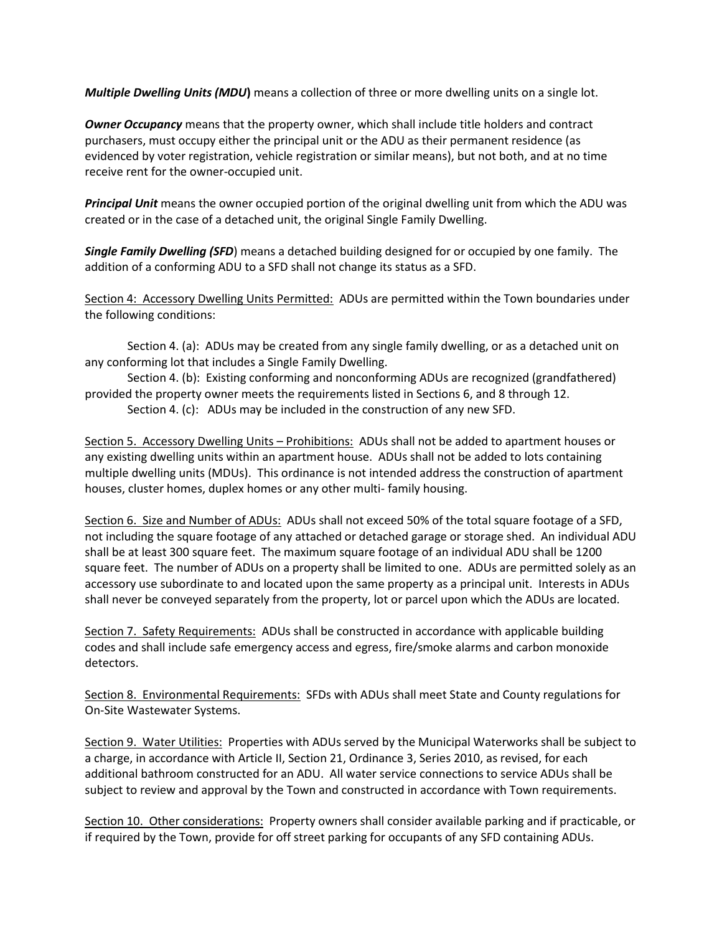*Multiple Dwelling Units (MDU***)** means a collection of three or more dwelling units on a single lot.

*Owner Occupancy* means that the property owner, which shall include title holders and contract purchasers, must occupy either the principal unit or the ADU as their permanent residence (as evidenced by voter registration, vehicle registration or similar means), but not both, and at no time receive rent for the owner-occupied unit.

*Principal Unit* means the owner occupied portion of the original dwelling unit from which the ADU was created or in the case of a detached unit, the original Single Family Dwelling.

*Single Family Dwelling (SFD*) means a detached building designed for or occupied by one family. The addition of a conforming ADU to a SFD shall not change its status as a SFD.

Section 4: Accessory Dwelling Units Permitted: ADUs are permitted within the Town boundaries under the following conditions:

 Section 4. (a): ADUs may be created from any single family dwelling, or as a detached unit on any conforming lot that includes a Single Family Dwelling.

 Section 4. (b): Existing conforming and nonconforming ADUs are recognized (grandfathered) provided the property owner meets the requirements listed in Sections 6, and 8 through 12.

Section 4. (c): ADUs may be included in the construction of any new SFD.

Section 5. Accessory Dwelling Units – Prohibitions: ADUs shall not be added to apartment houses or any existing dwelling units within an apartment house. ADUs shall not be added to lots containing multiple dwelling units (MDUs). This ordinance is not intended address the construction of apartment houses, cluster homes, duplex homes or any other multi- family housing.

Section 6. Size and Number of ADUs: ADUs shall not exceed 50% of the total square footage of a SFD, not including the square footage of any attached or detached garage or storage shed. An individual ADU shall be at least 300 square feet. The maximum square footage of an individual ADU shall be 1200 square feet. The number of ADUs on a property shall be limited to one. ADUs are permitted solely as an accessory use subordinate to and located upon the same property as a principal unit. Interests in ADUs shall never be conveyed separately from the property, lot or parcel upon which the ADUs are located.

Section 7. Safety Requirements: ADUs shall be constructed in accordance with applicable building codes and shall include safe emergency access and egress, fire/smoke alarms and carbon monoxide detectors.

Section 8. Environmental Requirements: SFDs with ADUs shall meet State and County regulations for On-Site Wastewater Systems.

Section 9. Water Utilities: Properties with ADUs served by the Municipal Waterworks shall be subject to a charge, in accordance with Article II, Section 21, Ordinance 3, Series 2010, as revised, for each additional bathroom constructed for an ADU. All water service connections to service ADUs shall be subject to review and approval by the Town and constructed in accordance with Town requirements.

Section 10. Other considerations: Property owners shall consider available parking and if practicable, or if required by the Town, provide for off street parking for occupants of any SFD containing ADUs.